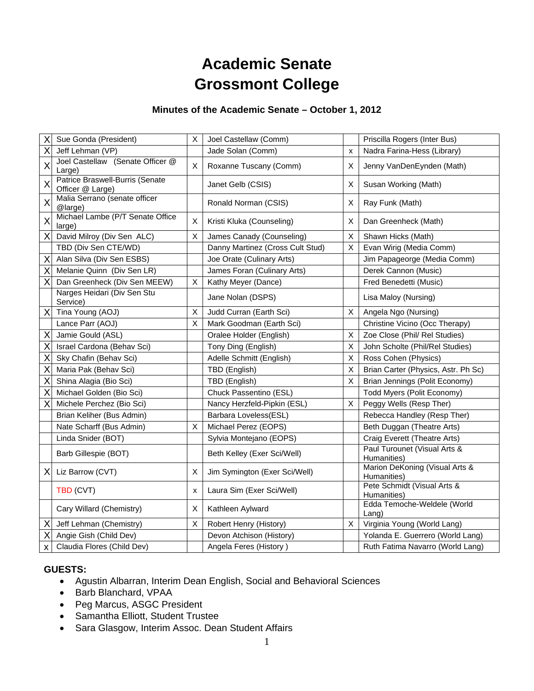# **Academic Senate Grossmont College**

# **Minutes of the Academic Senate – October 1, 2012**

| Χ                       | Sue Gonda (President)                               | X | Joel Castellaw (Comm)            |   | Priscilla Rogers (Inter Bus)                  |
|-------------------------|-----------------------------------------------------|---|----------------------------------|---|-----------------------------------------------|
| X                       | Jeff Lehman (VP)                                    |   | Jade Solan (Comm)                | x | Nadra Farina-Hess (Library)                   |
| $\overline{\mathsf{x}}$ | Joel Castellaw (Senate Officer @<br>Large)          | X | Roxanne Tuscany (Comm)           | х | Jenny VanDenEynden (Math)                     |
| X                       | Patrice Braswell-Burris (Senate<br>Officer @ Large) |   | Janet Gelb (CSIS)                | X | Susan Working (Math)                          |
| X                       | Malia Serrano (senate officer<br>@large)            |   | Ronald Norman (CSIS)             | X | Ray Funk (Math)                               |
| X                       | Michael Lambe (P/T Senate Office<br>large)          | X | Kristi Kluka (Counseling)        | х | Dan Greenheck (Math)                          |
| Χ                       | David Milroy (Div Sen ALC)                          | X | James Canady (Counseling)        | Χ | Shawn Hicks (Math)                            |
|                         | TBD (Div Sen CTE/WD)                                |   | Danny Martinez (Cross Cult Stud) | X | Evan Wirig (Media Comm)                       |
| X                       | Alan Silva (Div Sen ESBS)                           |   | Joe Orate (Culinary Arts)        |   | Jim Papageorge (Media Comm)                   |
| Χ                       | Melanie Quinn (Div Sen LR)                          |   | James Foran (Culinary Arts)      |   | Derek Cannon (Music)                          |
| X                       | Dan Greenheck (Div Sen MEEW)                        | X | Kathy Meyer (Dance)              |   | Fred Benedetti (Music)                        |
|                         | Narges Heidari (Div Sen Stu<br>Service)             |   | Jane Nolan (DSPS)                |   | Lisa Maloy (Nursing)                          |
| X                       | Tina Young (AOJ)                                    | X | Judd Curran (Earth Sci)          | Χ | Angela Ngo (Nursing)                          |
|                         | Lance Parr (AOJ)                                    | X | Mark Goodman (Earth Sci)         |   | Christine Vicino (Occ Therapy)                |
| Χ                       | Jamie Gould (ASL)                                   |   | Oralee Holder (English)          | Χ | Zoe Close (Phil/ Rel Studies)                 |
| Χ                       | Israel Cardona (Behav Sci)                          |   | Tony Ding (English)              | X | John Scholte (Phil/Rel Studies)               |
| X                       | Sky Chafin (Behav Sci)                              |   | Adelle Schmitt (English)         | Χ | Ross Cohen (Physics)                          |
| Χ                       | Maria Pak (Behav Sci)                               |   | TBD (English)                    | X | Brian Carter (Physics, Astr. Ph Sc)           |
| X                       | Shina Alagia (Bio Sci)                              |   | TBD (English)                    | Χ | Brian Jennings (Polit Economy)                |
| Χ                       | Michael Golden (Bio Sci)                            |   | Chuck Passentino (ESL)           |   | Todd Myers (Polit Economy)                    |
| X                       | Michele Perchez (Bio Sci)                           |   | Nancy Herzfeld-Pipkin (ESL)      | X | Peggy Wells (Resp Ther)                       |
|                         | Brian Keliher (Bus Admin)                           |   | Barbara Loveless(ESL)            |   | Rebecca Handley (Resp Ther)                   |
|                         | Nate Scharff (Bus Admin)                            | X | Michael Perez (EOPS)             |   | Beth Duggan (Theatre Arts)                    |
|                         | Linda Snider (BOT)                                  |   | Sylvia Montejano (EOPS)          |   | Craig Everett (Theatre Arts)                  |
|                         | Barb Gillespie (BOT)                                |   | Beth Kelley (Exer Sci/Well)      |   | Paul Turounet (Visual Arts &<br>Humanities)   |
| ΧI                      | Liz Barrow (CVT)                                    | Х | Jim Symington (Exer Sci/Well)    |   | Marion DeKoning (Visual Arts &<br>Humanities) |
|                         | TBD (CVT)                                           | X | Laura Sim (Exer Sci/Well)        |   | Pete Schmidt (Visual Arts &<br>Humanities)    |
|                         | Cary Willard (Chemistry)                            | X | Kathleen Aylward                 |   | Edda Temoche-Weldele (World<br>Lang)          |
| Χ                       | Jeff Lehman (Chemistry)                             | X | Robert Henry (History)           | X | Virginia Young (World Lang)                   |
| Χ                       | Angie Gish (Child Dev)                              |   | Devon Atchison (History)         |   | Yolanda E. Guerrero (World Lang)              |
| X                       | Claudia Flores (Child Dev)                          |   | Angela Feres (History)           |   | Ruth Fatima Navarro (World Lang)              |

# **GUESTS:**

- Agustin Albarran, Interim Dean English, Social and Behavioral Sciences
- Barb Blanchard, VPAA
- Peg Marcus, ASGC President
- Samantha Elliott, Student Trustee
- Sara Glasgow, Interim Assoc. Dean Student Affairs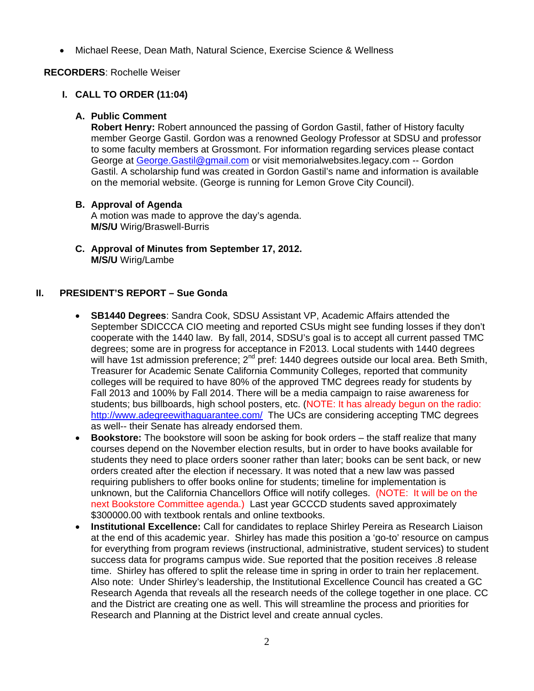• Michael Reese, Dean Math, Natural Science, Exercise Science & Wellness

## **RECORDERS**: Rochelle Weiser

# **I. CALL TO ORDER (11:04)**

#### **A. Public Comment**

**Robert Henry:** Robert announced the passing of Gordon Gastil, father of History faculty member George Gastil. Gordon was a renowned Geology Professor at SDSU and professor to some faculty members at Grossmont. For information regarding services please contact George at George.Gastil@gmail.com or visit memorialwebsites.legacy.com -- Gordon Gastil. A scholarship fund was created in Gordon Gastil's name and information is available on the memorial website. (George is running for Lemon Grove City Council).

## **B. Approval of Agenda**

A motion was made to approve the day's agenda. **M/S/U** Wirig/Braswell-Burris

**C. Approval of Minutes from September 17, 2012. M/S/U** Wirig/Lambe

# **II. PRESIDENT'S REPORT – Sue Gonda**

- **SB1440 Degrees**: Sandra Cook, SDSU Assistant VP, Academic Affairs attended the September SDICCCA CIO meeting and reported CSUs might see funding losses if they don't cooperate with the 1440 law. By fall, 2014, SDSU's goal is to accept all current passed TMC degrees; some are in progress for acceptance in F2013. Local students with 1440 degrees will have 1st admission preference; 2<sup>nd</sup> pref: 1440 degrees outside our local area. Beth Smith, Treasurer for Academic Senate California Community Colleges, reported that community colleges will be required to have 80% of the approved TMC degrees ready for students by Fall 2013 and 100% by Fall 2014. There will be a media campaign to raise awareness for students; bus billboards, high school posters, etc. (NOTE: It has already begun on the radio: http://www.adegreewithaguarantee.com/ The UCs are considering accepting TMC degrees as well-- their Senate has already endorsed them.
- **Bookstore:** The bookstore will soon be asking for book orders the staff realize that many courses depend on the November election results, but in order to have books available for students they need to place orders sooner rather than later; books can be sent back, or new orders created after the election if necessary. It was noted that a new law was passed requiring publishers to offer books online for students; timeline for implementation is unknown, but the California Chancellors Office will notify colleges. (NOTE: It will be on the next Bookstore Committee agenda.) Last year GCCCD students saved approximately \$300000.00 with textbook rentals and online textbooks.
- **Institutional Excellence:** Call for candidates to replace Shirley Pereira as Research Liaison at the end of this academic year. Shirley has made this position a 'go-to' resource on campus for everything from program reviews (instructional, administrative, student services) to student success data for programs campus wide. Sue reported that the position receives .8 release time. Shirley has offered to split the release time in spring in order to train her replacement. Also note: Under Shirley's leadership, the Institutional Excellence Council has created a GC Research Agenda that reveals all the research needs of the college together in one place. CC and the District are creating one as well. This will streamline the process and priorities for Research and Planning at the District level and create annual cycles.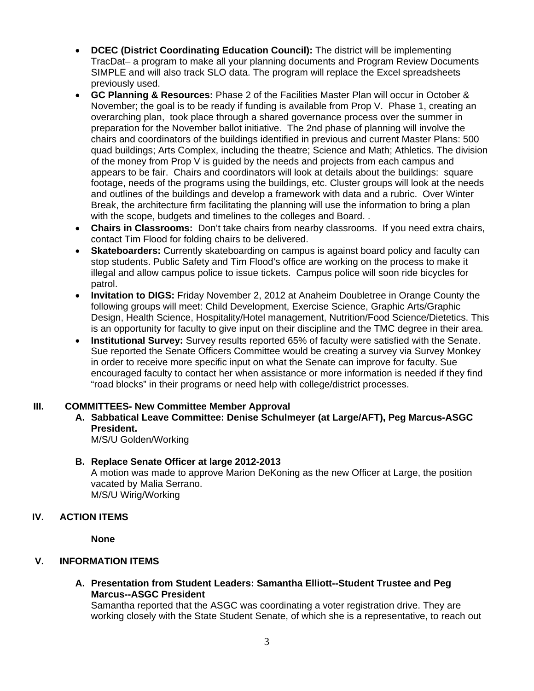- **DCEC (District Coordinating Education Council):** The district will be implementing TracDat– a program to make all your planning documents and Program Review Documents SIMPLE and will also track SLO data. The program will replace the Excel spreadsheets previously used.
- **GC Planning & Resources:** Phase 2 of the Facilities Master Plan will occur in October & November; the goal is to be ready if funding is available from Prop V. Phase 1, creating an overarching plan, took place through a shared governance process over the summer in preparation for the November ballot initiative. The 2nd phase of planning will involve the chairs and coordinators of the buildings identified in previous and current Master Plans: 500 quad buildings; Arts Complex, including the theatre; Science and Math; Athletics. The division of the money from Prop V is guided by the needs and projects from each campus and appears to be fair. Chairs and coordinators will look at details about the buildings: square footage, needs of the programs using the buildings, etc. Cluster groups will look at the needs and outlines of the buildings and develop a framework with data and a rubric. Over Winter Break, the architecture firm facilitating the planning will use the information to bring a plan with the scope, budgets and timelines to the colleges and Board. .
- **Chairs in Classrooms:** Don't take chairs from nearby classrooms. If you need extra chairs, contact Tim Flood for folding chairs to be delivered.
- **Skateboarders:** Currently skateboarding on campus is against board policy and faculty can stop students. Public Safety and Tim Flood's office are working on the process to make it illegal and allow campus police to issue tickets. Campus police will soon ride bicycles for patrol.
- **Invitation to DIGS:** Friday November 2, 2012 at Anaheim Doubletree in Orange County the following groups will meet: Child Development, Exercise Science, Graphic Arts/Graphic Design, Health Science, Hospitality/Hotel management, Nutrition/Food Science/Dietetics. This is an opportunity for faculty to give input on their discipline and the TMC degree in their area.
- **Institutional Survey:** Survey results reported 65% of faculty were satisfied with the Senate. Sue reported the Senate Officers Committee would be creating a survey via Survey Monkey in order to receive more specific input on what the Senate can improve for faculty. Sue encouraged faculty to contact her when assistance or more information is needed if they find "road blocks" in their programs or need help with college/district processes.

#### **III. COMMITTEES- New Committee Member Approval**

**A. Sabbatical Leave Committee: Denise Schulmeyer (at Large/AFT), Peg Marcus-ASGC President.** 

M/S/U Golden/Working

#### **B. Replace Senate Officer at large 2012-2013**

A motion was made to approve Marion DeKoning as the new Officer at Large, the position vacated by Malia Serrano. M/S/U Wirig/Working

# **IV. ACTION ITEMS**

**None** 

# **V. INFORMATION ITEMS**

## **A. Presentation from Student Leaders: Samantha Elliott--Student Trustee and Peg Marcus--ASGC President**

Samantha reported that the ASGC was coordinating a voter registration drive. They are working closely with the State Student Senate, of which she is a representative, to reach out